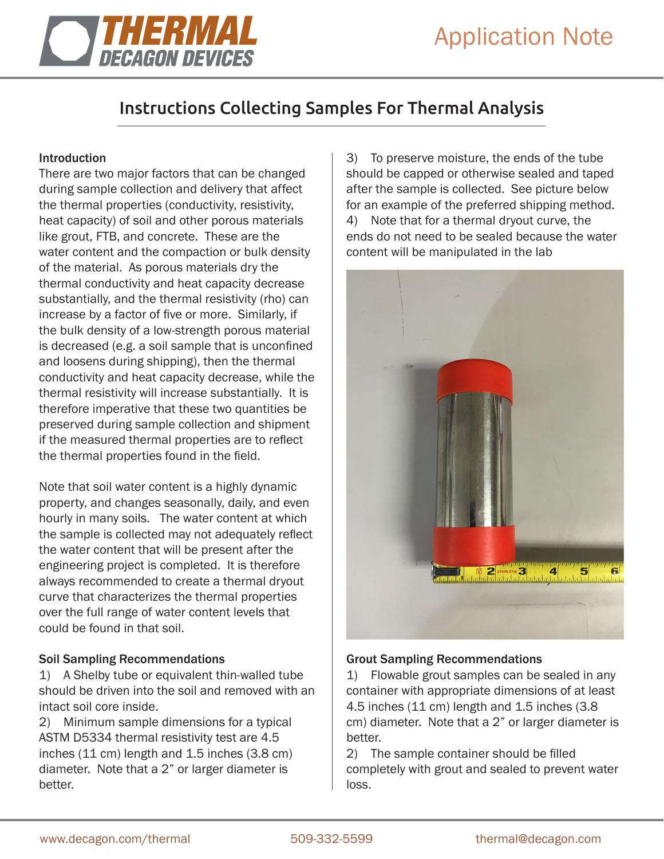

# Instructions Collecting Samples For Thermal Analysis

## **Introduction**

There are two major factors that can be changed during sample collection and delivery that affect the thermal properties (conductivity, resistivity, heat capacity) of soil and other porous materials like grout, FTB, and concrete. These are the water content and the compaction or bulk density of the material. As porous materials dry the thermal conductivity and heat capacity decrease substantially, and the thermal resistivity (rho) can increase by a factor of five or more. Similarly, if the bulk density of a low-strength porous material is decreased (e.g. a soil sample that is unconfined and loosens during shipping), then the thermal conductivity and heat capacity decrease, while the thermal resistivity will increase substantially. It is therefore imperative that these two quantities be preserved during sample collection and shipment if the measured thermal properties are to reflect the thermal properties found in the field.

Note that soil water content is a highly dynamic property, and changes seasonally, daily, and even hourly in many soils. The water content at which the sample is collected may not adequately reflect the water content that will be present after the engineering project is completed. It is therefore always recommended to create a thermal dryout curve that characterizes the thermal properties over the full range of water content levels that could be found in that soil.

#### Soil Sampling Recommendations

1) A Shelby tube or equivalent thin-walled tube should be driven into the soil and removed with an intact soil core inside.

2) Minimum sample dimensions for a typical ASTM D5334 thermal resistivity test are 4.5 inches (11 cm) length and 1.5 inches (3.8 cm) diameter. Note that a 2" or larger diameter is better.

3) To preserve moisture, the ends of the tube should be capped or otherwise sealed and taped after the sample is collected. See picture below for an example of the preferred shipping method. 4) Note that for a thermal dryout curve, the ends do not need to be sealed because the water content will be manipulated in the lab



#### Grout Sampling Recommendations

1) Flowable grout samples can be sealed in any container with appropriate dimensions of at least 4.5 inches (11 cm) length and 1.5 inches (3.8 cm) diameter. Note that a 2" or larger diameter is better.

2) The sample container should be filled completely with grout and sealed to prevent water loss.